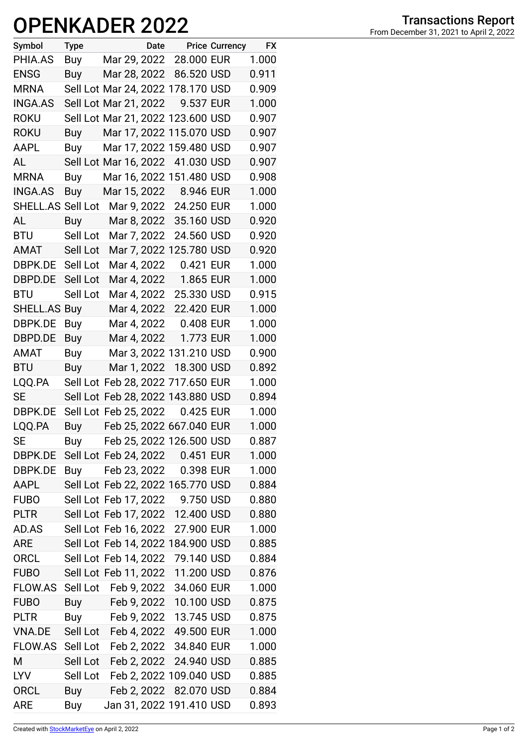## **OPENKADER 2022**

| Symbol              | <b>Type</b> | Date                                    |            | <b>Price Currency</b> | <b>FX</b> |
|---------------------|-------------|-----------------------------------------|------------|-----------------------|-----------|
| PHIA.AS             | Buy         | Mar 29, 2022 28.000 EUR                 |            |                       | 1.000     |
| <b>ENSG</b>         | Buy         | Mar 28, 2022 86.520 USD                 |            |                       | 0.911     |
| <b>MRNA</b>         |             | Sell Lot Mar 24, 2022 178.170 USD       |            |                       | 0.909     |
| <b>INGA.AS</b>      |             | Sell Lot Mar 21, 2022                   | 9.537 EUR  |                       | 1.000     |
| <b>ROKU</b>         |             | Sell Lot Mar 21, 2022 123.600 USD       |            |                       | 0.907     |
| <b>ROKU</b>         | Buy         | Mar 17, 2022 115.070 USD                |            |                       | 0.907     |
| AAPL                | Buy         | Mar 17, 2022 159.480 USD                |            |                       | 0.907     |
| AL                  |             | Sell Lot Mar 16, 2022 41.030 USD        |            |                       | 0.907     |
| <b>MRNA</b>         | Buy         | Mar 16, 2022 151.480 USD                |            |                       | 0.908     |
| <b>INGA.AS</b>      | Buy         | Mar 15, 2022 8.946 EUR                  |            |                       | 1.000     |
| SHELL.AS Sell Lot   |             | Mar 9, 2022 24.250 EUR                  |            |                       | 1.000     |
| AL                  | <b>Buy</b>  | Mar 8, 2022 35.160 USD                  |            |                       | 0.920     |
| <b>BTU</b>          | Sell Lot    | Mar 7, 2022                             | 24.560 USD |                       | 0.920     |
| AMAT                | Sell Lot    | Mar 7, 2022 125.780 USD                 |            |                       | 0.920     |
| DBPK.DE             | Sell Lot    | Mar 4, 2022                             | 0.421 EUR  |                       | 1.000     |
| DBPD.DE             | Sell Lot    | Mar 4, 2022                             | 1.865 EUR  |                       | 1.000     |
| <b>BTU</b>          | Sell Lot    | Mar 4, 2022                             | 25.330 USD |                       | 0.915     |
| <b>SHELL.AS Buy</b> |             | Mar 4, 2022                             | 22.420 EUR |                       | 1.000     |
| DBPK.DE             | Buy         | Mar 4, 2022                             | 0.408 EUR  |                       | 1.000     |
| DBPD.DE             | Buy         | Mar 4, 2022                             | 1.773 EUR  |                       | 1.000     |
| AMAT                | Buy         | Mar 3, 2022 131.210 USD                 |            |                       | 0.900     |
| <b>BTU</b>          | Buy         | Mar 1, 2022 18.300 USD                  |            |                       | 0.892     |
| LQQ.PA              |             | Sell Lot Feb 28, 2022 717.650 EUR       |            |                       | 1.000     |
| <b>SE</b>           |             | Sell Lot Feb 28, 2022 143.880 USD       |            |                       | 0.894     |
| DBPK.DE             |             | Sell Lot Feb 25, 2022                   | 0.425 EUR  |                       | 1.000     |
| LQQ.PA              | Buy         | Feb 25, 2022 667.040 EUR                |            |                       | 1.000     |
| SЕ                  | Buy         | Feb 25, 2022 126.500 USD                |            |                       | 0.887     |
| DBPK.DE             |             | Sell Lot Feb 24, 2022 0.451 EUR         |            |                       | 1.000     |
| DBPK.DE             | Buy         | Feb 23, 2022 0.398 EUR                  |            |                       | 1.000     |
| AAPL                |             | Sell Lot Feb 22, 2022 165.770 USD       |            |                       | 0.884     |
| <b>FUBO</b>         |             | Sell Lot Feb 17, 2022                   | 9.750 USD  |                       | 0.880     |
| <b>PLTR</b>         |             | Sell Lot Feb 17, 2022                   | 12.400 USD |                       | 0.880     |
| AD.AS               |             | Sell Lot Feb 16, 2022                   | 27.900 EUR |                       | 1.000     |
| ARE                 |             | Sell Lot Feb 14, 2022 184.900 USD       |            |                       | 0.885     |
| <b>ORCL</b>         |             | Sell Lot Feb 14, 2022                   | 79.140 USD |                       | 0.884     |
| <b>FUBO</b>         |             | Sell Lot Feb 11, 2022                   | 11.200 USD |                       | 0.876     |
| FLOW.AS             | Sell Lot    | Feb 9, 2022                             | 34.060 EUR |                       | 1.000     |
| <b>FUBO</b>         | Buy         | Feb 9, 2022                             | 10.100 USD |                       | 0.875     |
| <b>PLTR</b>         | Buy         | Feb 9, 2022 13.745 USD                  |            |                       | 0.875     |
| <b>VNA.DE</b>       |             | Sell Lot Feb 4, 2022                    | 49.500 EUR |                       | 1.000     |
|                     |             | FLOW.AS Sell Lot Feb 2, 2022 34.840 EUR |            |                       | 1.000     |
| М                   | Sell Lot    | Feb 2, 2022                             | 24.940 USD |                       | 0.885     |
| <b>LYV</b>          | Sell Lot    | Feb 2, 2022 109.040 USD                 |            |                       | 0.885     |
| <b>ORCL</b>         | Buy         | Feb 2, 2022 82.070 USD                  |            |                       | 0.884     |
| <b>ARE</b>          | Buy         | Jan 31, 2022 191.410 USD                |            |                       | 0.893     |